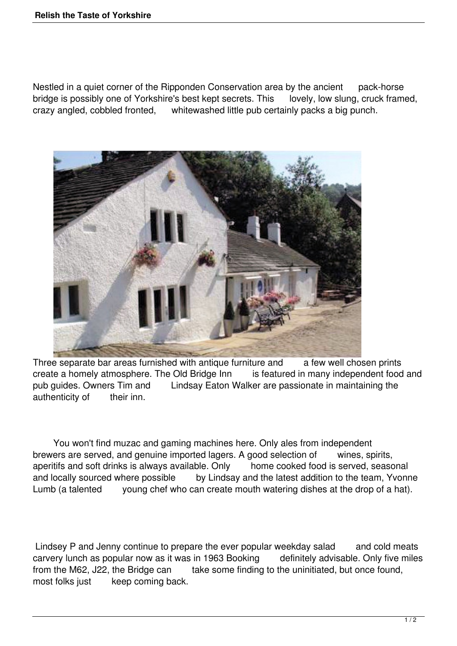Nestled in a quiet corner of the Ripponden Conservation area by the ancient pack-horse bridge is possibly one of Yorkshire's best kept secrets. This lovely, low slung, cruck framed, crazy angled, cobbled fronted, whitewashed little pub certainly packs a big punch. whitewashed little pub certainly packs a big punch.



Three separate bar areas furnished with antique furniture and a few well chosen prints create a homely atmosphere. The Old Bridge Inn is featured in many independent food and pub guides. Owners Tim and Lindsay Eaton Walker are passionate in maintaining the authenticity of their inn.

 You won't find muzac and gaming machines here. Only ales from independent brewers are served, and genuine imported lagers. A good selection of wines, spirits, aperitifs and soft drinks is always available. Only home cooked food is served, seasonal and locally sourced where possible by Lindsay and the latest addition to the team, Yvonne Lumb (a talented young chef who can create mouth watering dishes at the drop of a hat).

Lindsey P and Jenny continue to prepare the ever popular weekday salad and cold meats carvery lunch as popular now as it was in 1963 Booking definitely advisable. Only five miles from the M62, J22, the Bridge can take some finding to the uninitiated, but once found, most folks just keep coming back.